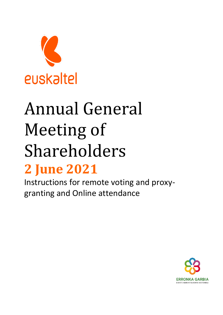

# Annual General Meeting of Shareholders **2 June 2021**

Instructions for remote voting and proxygranting and Online attendance

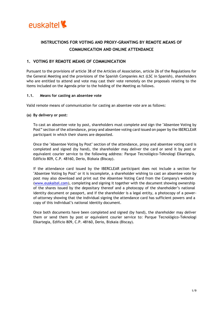

# **INSTRUCTIONS FOR VOTING AND PROXY-GRANTING BY REMOTE MEANS OF COMMUNICATION AND ONLINE ATTENDANCE**

# **1. VOTING BY REMOTE MEANS OF COMMUNICATION**

Pursuant to the provisions of article 38 of the Articles of Association, article 26 of the Regulations for the General Meeting and the provisions of the Spanish Companies Act (LSC in Spanish), shareholders who are entitled to attend and vote may cast their vote remotely on the proposals relating to the items included on the Agenda prior to the holding of the Meeting as follows.

#### **1.1. Means for casting an absentee vote**

Valid remote means of communication for casting an absentee vote are as follows:

#### **(a) By delivery or post:**

To cast an absentee vote by post, shareholders must complete and sign the "Absentee Voting by Post" section of the attendance, proxy and absentee voting card issued on paper by the IBERCLEAR participant in which their shares are deposited.

Once the "Absentee Voting by Post" section of the attendance, proxy and absentee voting card is completed and signed (by hand), the shareholder may deliver the card or send it by post or equivalent courier service to the following address: Parque Tecnológico-Teknologi Elkartegia, Edificio 809, C.P. 48160, Derio, Bizkaia (Biscay).

If the attendance card issued by the IBERCLEAR participant does not include a section for "Absentee Voting by Post" or it is incomplete, a shareholder wishing to cast an absentee vote by post may also download and print out the Absentee Voting Card from the Company's website [\(www.euskaltel.com\)](http://www.euskaltel.com/), completing and signing it together with the document showing ownership of the shares issued by the depositary thereof and a photocopy of the shareholder's national identity document or passport, and if the shareholder is a legal entity, a photocopy of a powerof-attorney showing that the individual signing the attendance card has sufficient powers and a copy of this individual's national identity document.

Once both documents have been completed and signed (by hand), the shareholder may deliver them or send them by post or equivalent courier service to: Parque Tecnológico-Teknologi Elkartegia, Edificio 809, C.P. 48160, Derio, Bizkaia (Biscay).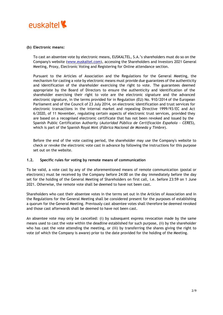

## **(b) Electronic means:**

To cast an absentee vote by electronic means, EUSKALTEL, S.A.'s shareholders must do so on the Company's website [\(www.euskaltel.com\)](http://www.euskaltel.com/), accessing the Shareholders and Investors 2021 General Meeting, Proxy, Electronic Voting and Registering for Online attendance section.

Pursuant to the Articles of Association and the Regulations for the General Meeting, the mechanism for casting a vote by electronic means must provide due guarantees of the authenticity and identification of the shareholder exercising the right to vote. The guarantees deemed appropriate by the Board of Directors to ensure the authenticity and identification of the shareholder exercising their right to vote are the electronic signature and the advanced electronic signature, in the terms provided for in Regulation (EU) No. 910/2014 of the European Parliament and of the Council of 23 July 2014, on electronic identification and trust services for electronic transactions in the internal market and repealing Directive 1999/93/EC and Act 6/2020, of 11 November, regulating certain aspects of electronic trust services, provided they are based on a recognised electronic certificate that has not been revoked and issued by the Spanish Public Certification Authority (*Autoridad Pública de Certificación Española - CERES*), which is part of the Spanish Royal Mint (*Fábrica Nacional de Moneda y Timbre*).

Before the end of the vote casting period, the shareholder may use the Company's website to check or revoke the electronic vote cast in advance by following the instructions for this purpose set out on the website.

# **1.2. Specific rules for voting by remote means of communication**

To be valid, a vote cast by any of the aforementioned means of remote communication (postal or electronic) must be received by the Company before 24:00 on the day immediately before the day set for the holding of the General Meeting of Shareholders on first call, i.e. before 23:59 on 1 June 2021. Otherwise, the remote vote shall be deemed to have not been cast.

Shareholders who cast their absentee votes in the terms set out in the Articles of Association and in the Regulations for the General Meeting shall be considered present for the purposes of establishing a quorum for the General Meeting. Previously cast absentee votes shall therefore be deemed revoked and those cast afterwards shall be deemed to have not been cast.

An absentee vote may only be cancelled: (i) by subsequent express revocation made by the same means used to cast the vote within the deadline established for such purpose, (ii) by the shareholder who has cast the vote attending the meeting, or (iii) by transferring the shares giving the right to vote (of which the Company is aware) prior to the date provided for the holding of the Meeting.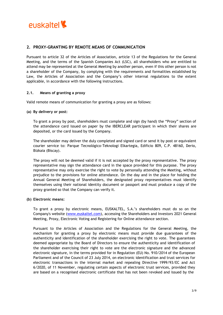

# **2. PROXY-GRANTING BY REMOTE MEANS OF COMMUNICATION**

Pursuant to article 32 of the Articles of Association, article 13 of the Regulations for the General Meeting, and the terms of the Spanish Companies Act (LSC), all shareholders who are entitled to attend may be represented at the General Meeting by another person, even if this other person is not a shareholder of the Company, by complying with the requirements and formalities established by Law, the Articles of Association and the Company's other internal regulations to the extent applicable, in accordance with the following instructions.

#### **2.1. Means of granting a proxy**

Valid remote means of communication for granting a proxy are as follows:

#### **(a) By delivery or post:**

To grant a proxy by post, shareholders must complete and sign (by hand) the "Proxy" section of the attendance card issued on paper by the IBERCLEAR participant in which their shares are deposited, or the card issued by the Company.

The shareholder may deliver the duly completed and signed card or send it by post or equivalent courier service to: Parque Tecnológico-Teknologi Elkartegia, Edificio 809, C.P. 48160, Derio, Bizkaia (Biscay).

The proxy will not be deemed valid if it is not accepted by the proxy representative. The proxy representative may sign the attendance card in the space provided for this purpose. The proxy representative may only exercise the right to vote by personally attending the Meeting, without prejudice to the provisions for online attendance. On the day and in the place for holding the Annual General Meeting of Shareholders, the designated proxy representatives must identify themselves using their national identity document or passport and must produce a copy of the proxy granted so that the Company can verify it.

# **(b) Electronic means:**

To grant a proxy by electronic means, EUSKALTEL, S.A.'s shareholders must do so on the Company's website [\(www.euskaltel.com\)](http://www.euskaltel.com/), accessing the Shareholders and Investors 2021 General Meeting, Proxy, Electronic Voting and Registering for Online attendance section.

Pursuant to the Articles of Association and the Regulations for the General Meeting, the mechanism for granting a proxy by electronic means must provide due guarantees of the authenticity and identification of the shareholder exercising the right to vote. The guarantees deemed appropriate by the Board of Directors to ensure the authenticity and identification of the shareholder exercising their right to vote are the electronic signature and the advanced electronic signature, in the terms provided for in Regulation (EU) No. 910/2014 of the European Parliament and of the Council of 23 July 2014, on electronic identification and trust services for electronic transactions in the internal market and repealing Directive 1999/93/EC and Act 6/2020, of 11 November, regulating certain aspects of electronic trust services, provided they are based on a recognised electronic certificate that has not been revoked and issued by the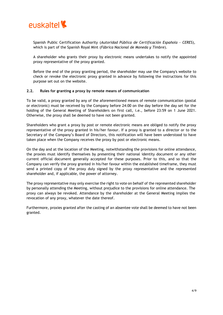

Spanish Public Certification Authority (*Autoridad Pública de Certificación Española - CERES*), which is part of the Spanish Royal Mint (*Fábrica Nacional de Moneda y Timbre*).

A shareholder who grants their proxy by electronic means undertakes to notify the appointed proxy representative of the proxy granted.

Before the end of the proxy granting period, the shareholder may use the Company's website to check or revoke the electronic proxy granted in advance by following the instructions for this purpose set out on the website.

#### **2.2. Rules for granting a proxy by remote means of communication**

To be valid, a proxy granted by any of the aforementioned means of remote communication (postal or electronic) must be received by the Company before 24:00 on the day before the day set for the holding of the General Meeting of Shareholders on first call, i.e., before 23:59 on 1 June 2021. Otherwise, the proxy shall be deemed to have not been granted.

Shareholders who grant a proxy by post or remote electronic means are obliged to notify the proxy representative of the proxy granted in his/her favour. If a proxy is granted to a director or to the Secretary of the Company's Board of Directors, this notification will have been understood to have taken place when the Company receives the proxy by post or electronic means.

On the day and at the location of the Meeting, notwithstanding the provisions for online attendance, the proxies must identify themselves by presenting their national identity document or any other current official document generally accepted for these purposes. Prior to this, and so that the Company can verify the proxy granted in his/her favour within the established timeframe, they must send a printed copy of the proxy duly signed by the proxy representative and the represented shareholder and, if applicable, the power of attorney.

The proxy representative may only exercise the right to vote on behalf of the represented shareholder by personally attending the Meeting, without prejudice to the provisions for online attendance. The proxy can always be revoked. Attendance by the shareholder at the General Meeting implies the revocation of any proxy, whatever the date thereof.

Furthermore, proxies granted after the casting of an absentee vote shall be deemed to have not been granted.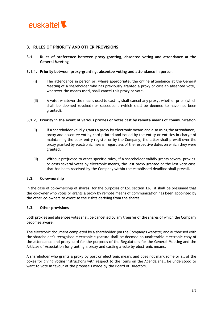

# **3. RULES OF PRIORITY AND OTHER PROVISIONS**

**3.1. Rules of preference between proxy-granting, absentee voting and attendance at the General Meeting**

#### **3.1.1. Priority between proxy-granting, absentee voting and attendance in person**

- (i) The attendance in person or, where appropriate, the online attendance at the General Meeting of a shareholder who has previously granted a proxy or cast an absentee vote, whatever the means used, shall cancel this proxy or vote.
- (ii) A vote, whatever the means used to cast it, shall cancel any proxy, whether prior (which shall be deemed revoked) or subsequent (which shall be deemed to have not been granted).

#### **3.1.2. Priority in the event of various proxies or votes cast by remote means of communication**

- (i) If a shareholder validly grants a proxy by electronic means and also using the attendance, proxy and absentee voting card printed and issued by the entity or entities in charge of maintaining the book-entry register or by the Company, the latter shall prevail over the proxy granted by electronic means, regardless of the respective dates on which they were granted.
- (ii) Without prejudice to other specific rules, if a shareholder validly grants several proxies or casts several votes by electronic means, the last proxy granted or the last vote cast that has been received by the Company within the established deadline shall prevail.

# **3.2. Co-ownership**

In the case of co-ownership of shares, for the purposes of LSC section 126, it shall be presumed that the co-owner who votes or grants a proxy by remote means of communication has been appointed by the other co-owners to exercise the rights deriving from the shares.

# **3.3. Other provisions**

Both proxies and absentee votes shall be cancelled by any transfer of the shares of which the Company becomes aware.

The electronic document completed by a shareholder (on the Company's website) and authorised with the shareholder's recognised electronic signature shall be deemed an unalterable electronic copy of the attendance and proxy card for the purposes of the Regulations for the General Meeting and the Articles of Association for granting a proxy and casting a vote by electronic means.

A shareholder who grants a proxy by post or electronic means and does not mark some or all of the boxes for giving voting instructions with respect to the items on the Agenda shall be understood to want to vote in favour of the proposals made by the Board of Directors.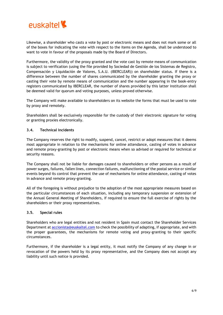

Likewise, a shareholder who casts a vote by post or electronic means and does not mark some or all of the boxes for indicating the vote with respect to the items on the Agenda, shall be understood to want to vote in favour of the proposals made by the Board of Directors.

Furthermore, the validity of the proxy granted and the vote cast by remote means of communication is subject to verification (using the file provided by Sociedad de Gestión de los Sistemas de Registro, Compensación y Liquidación de Valores, S.A.U. (IBERCLEAR)) on shareholder status. If there is a difference between the number of shares communicated by the shareholder granting the proxy or casting their vote by remote means of communication and the number appearing in the book-entry registers communicated by IBERCLEAR, the number of shares provided by this latter institution shall be deemed valid for quorum and voting purposes, unless proved otherwise.

The Company will make available to shareholders on its website the forms that must be used to vote by proxy and remotely.

Shareholders shall be exclusively responsible for the custody of their electronic signature for voting or granting proxies electronically.

# **3.4. Technical incidents**

The Company reserves the right to modify, suspend, cancel, restrict or adopt measures that it deems most appropriate in relation to the mechanisms for online attendance, casting of votes in advance and remote proxy-granting by post or electronic means when so advised or required for technical or security reasons.

The Company shall not be liable for damages caused to shareholders or other persons as a result of power surges, failures, fallen lines, connection failures, malfunctioning of the postal service or similar events beyond its control that prevent the use of mechanisms for online attendance, casting of votes in advance and remote proxy-granting.

All of the foregoing is without prejudice to the adoption of the most appropriate measures based on the particular circumstances of each situation, including any temporary suspension or extension of the Annual General Meeting of Shareholders, if required to ensure the full exercise of rights by the shareholders or their proxy representatives.

#### **3.5. Special rules**

Shareholders who are legal entities and not resident in Spain must contact the Shareholder Services Department at [accionista@euskaltel.com](mailto:accionista@euskaltel.com) to check the possibility of adapting, if appropriate, and with the proper guarantees, the mechanisms for remote voting and proxy-granting to their specific circumstances.

Furthermore, if the shareholder is a legal entity, it must notify the Company of any change in or revocation of the powers held by its proxy representative, and the Company does not accept any liability until such notice is provided.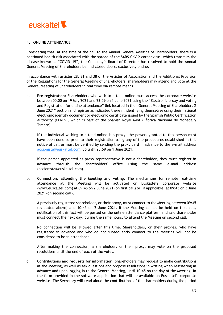

## **4. ONLINE ATTENDANCE**

Considering that, at the time of the call to the Annual General Meeting of Shareholders, there is a continued health risk associated with the spread of the SARS-CoV-2 coronavirus, which transmits the disease known as "COVID-19", the Company's Board of Directors has resolved to hold the Annual General Meeting of Shareholders behind closed doors, exclusively online.

In accordance with articles 28, 31 and 38 of the Articles of Association and the Additional Provision of the Regulations for the General Meeting of Shareholders, shareholders may attend and vote at the General Meeting of Shareholders in real time via remote means.

a. **Pre-registration:** Shareholders who wish to attend online must access the corporate website between 00:00 on 19 May 2021 and 23:59 on 1 June 2021 using the "Electronic proxy and voting and Registration for online attendance" link located in the "General Meeting of Shareholders 2 June 2021" section and register as indicated therein, identifying themselves using their national electronic identity document or electronic certificate issued by the Spanish Public Certification Authority (CERES), which is part of the Spanish Royal Mint (Fábrica Nacional de Moneda y Timbre).

If the individual wishing to attend online is a proxy, the powers granted to this person must have been done so prior to their registration using any of the procedures established in this notice of call or must be verified by sending the proxy card in advance to the e-mail address [accionista@euskaltel.com](mailto:accionista@euskaltel.com), up until 23:59 on 1 June 2021.

If the person appointed as proxy representative is not a shareholder, they must register in advance through the shareholders' office using the same e-mail address (accionista@euskaltel.com).

b. **Connection, attending the Meeting and voting**: The mechanisms for remote real-time attendance at the Meeting will be activated on Euskaltel's corporate website (www.euskaltel.com) at 09:45 on 2 June 2021 (on first call) or, if applicable, at 09:45 on 3 June 2021 (on second call).

A previously registered shareholder, or their proxy, must connect to the Meeting between 09:45 (as stated above) and 10:45 on 2 June 2021. If the Meeting cannot be held on first call, notification of this fact will be posted on the online attendance platform and said shareholder must connect the next day, during the same hours, to attend the Meeting on second call.

No connection will be allowed after this time. Shareholders, or their proxies, who have registered in advance and who do not subsequently connect to the meeting will not be considered to be in attendance.

After making the connection, a shareholder, or their proxy, may vote on the proposed resolutions until the end of each of the votes.

c. **Contributions and requests for information:** Shareholders may request to make contributions at the Meeting, as well as ask questions and propose resolutions in writing when registering in advance and upon logging in to the General Meeting, until 10:45 on the day of the Meeting, in the form provided in the software application that will be available on Euskaltel's corporate website. The Secretary will read aloud the contributions of the shareholders during the period